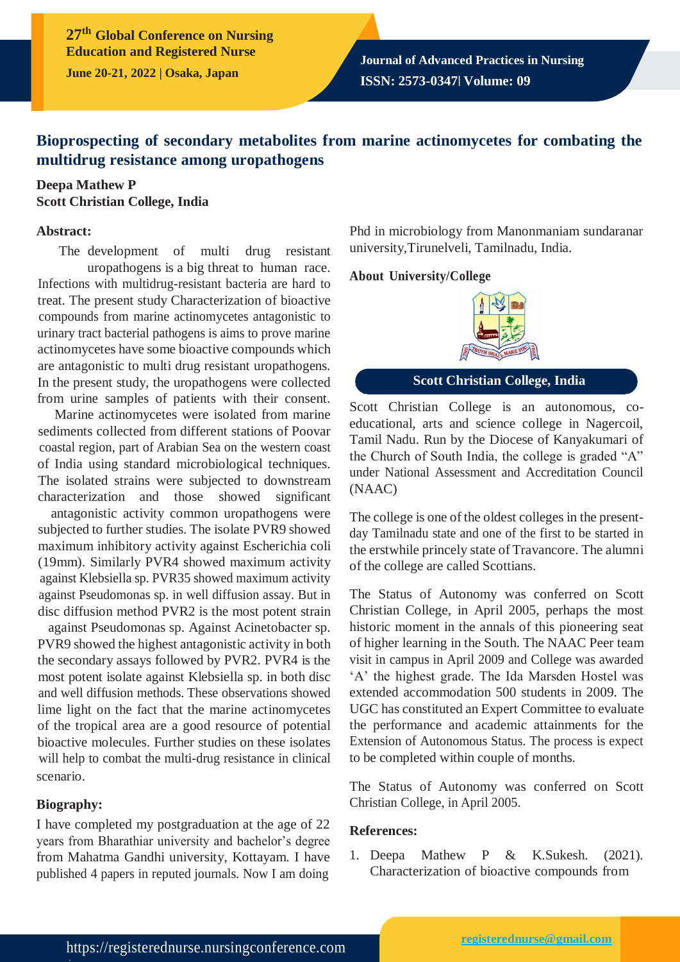**27th Global Conference on Nursing Education and Registered Nurse June 20-21, 2022 | Osaka, Japan**

# **Bioprospecting of secondary metabolites from marine actinomycetes for combating the multidrug resistance among uropathogens**

### **Deepa Mathew P Scott Christian College, India**

#### **Abstract:**

The development of multi drug resistant uropathogens is a big threat to human race. Infections with multidrug-resistant bacteria are hard to treat. The present study Characterization of bioactive compounds from marine actinomycetes antagonistic to urinary tract bacterial pathogens is aims to prove marine actinomycetes have some bioactive compounds which are antagonistic to multi drug resistant uropathogens. In the present study, the uropathogens were collected from urine samples of patients with their consent.

Marine actinomycetes were isolated from marine sediments collected from different stations of Poovar coastal region, part of Arabian Sea on the western coast of India using standard microbiological techniques. The isolated strains were subjected to downstream characterization and those showed significant

antagonistic activity common uropathogens were subjected to further studies. The isolate PVR9 showed maximum inhibitory activity against Escherichia coli (19mm). Similarly PVR4 showed maximum activity against Klebsiella sp. PVR35 showed maximum activity against Pseudomonas sp. in well diffusion assay. But in disc diffusion method PVR2 is the most potent strain

against Pseudomonas sp. Against Acinetobacter sp. PVR9 showed the highest antagonistic activity in both the secondary assays followed by PVR2. PVR4 is the most potent isolate against Klebsiella sp. in both disc and well diffusion methods. These observations showed lime light on the fact that the marine actinomycetes of the tropical area are a good resource of potential bioactive molecules. Further studies on these isolates will help to combat the multi-drug resistance in clinical scenario.

### **Biography:**

/

I have completed my postgraduation at the age of 22 years from Bharathiar university and bachelor's degree from Mahatma Gandhi university, Kottayam. I have published 4 papers in reputed journals. Now I am doing

Phd in microbiology from Manonmaniam sundaranar university,Tirunelveli, Tamilnadu, India.

### **About University/College**



## **Scott Christian College, India**

Scott Christian College is an autonomous, coeducational, arts and science college in Nagercoil, Tamil Nadu. Run by the Diocese of Kanyakumari of the Church of South India, the college is graded "A" under National Assessment and Accreditation Council (NAAC)

The college is one of the oldest colleges in the presentday Tamilnadu state and one of the first to be started in the erstwhile princely state of Travancore. The alumni of the college are called Scottians.

The Status of Autonomy was conferred on Scott Christian College, in April 2005, perhaps the most historic moment in the annals of this pioneering seat of higher learning in the South. The NAAC Peer team visit in campus in April 2009 and College was awarded 'A' the highest grade. The Ida Marsden Hostel was extended accommodation 500 students in 2009. The UGC has constituted an Expert Committee to evaluate the performance and academic attainments for the Extension of Autonomous Status. The process is expect to be completed within couple of months.

The Status of Autonomy was conferred on Scott Christian College, in April 2005.

### **References:**

1. Deepa Mathew P & K.Sukesh. (2021). Characterization of bioactive compounds from